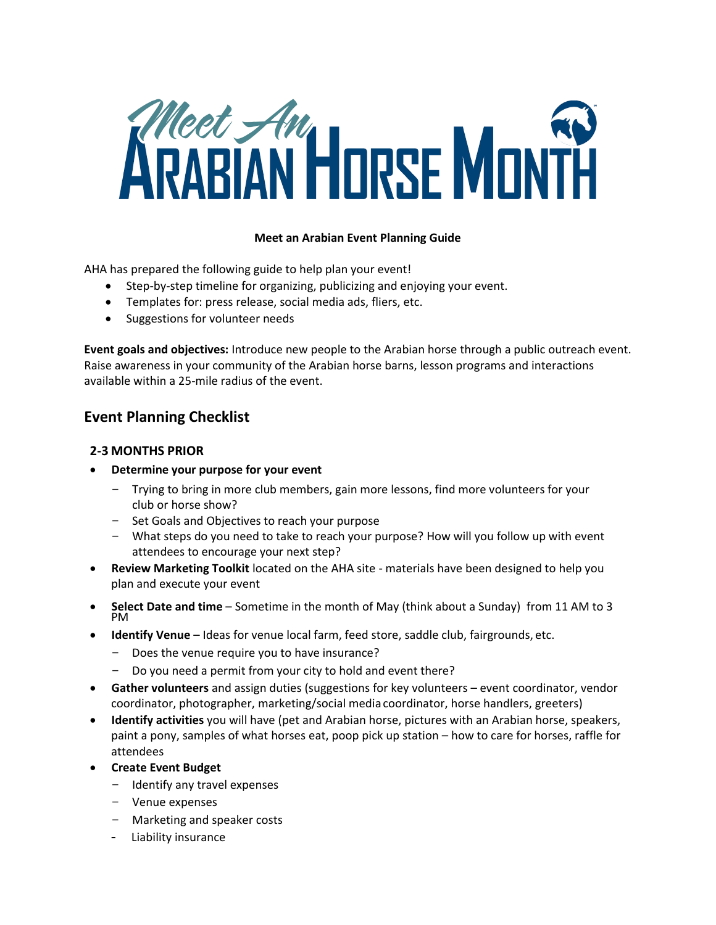

#### **Meet an Arabian Event Planning Guide**

AHA has prepared the following guide to help plan your event!

- Step-by-step timeline for organizing, publicizing and enjoying your event.
- Templates for: press release, social media ads, fliers, etc.
- Suggestions for volunteer needs

**Event goals and objectives:** Introduce new people to the Arabian horse through a public outreach event. Raise awareness in your community of the Arabian horse barns, lesson programs and interactions available within a 25-mile radius of the event.

# **Event Planning Checklist**

## **2-3 MONTHS PRIOR**

- **Determine your purpose for your event**
	- Trying to bring in more club members, gain more lessons, find more volunteers for your club or horse show?
	- Set Goals and Objectives to reach your purpose
	- What steps do you need to take to reach your purpose? How will you follow up with event attendees to encourage your next step?
- **Review Marketing Toolkit** located on the AHA site materials have been designed to help you plan and execute your event
- **Select Date and time** Sometime in the month of May (think about a Sunday) from 11 AM to 3 PM
- **Identify Venue** Ideas for venue local farm, feed store, saddle club, fairgrounds, etc.
	- Does the venue require you to have insurance?
	- Do you need a permit from your city to hold and event there?
- **Gather volunteers** and assign duties (suggestions for key volunteers event coordinator, vendor coordinator, photographer, marketing/social media coordinator, horse handlers, greeters)
- **Identify activities** you will have (pet and Arabian horse, pictures with an Arabian horse, speakers, paint a pony, samples of what horses eat, poop pick up station – how to care for horses, raffle for attendees
- **Create Event Budget**
	- Identify any travel expenses
	- Venue expenses
	- Marketing and speaker costs
	- Liability insurance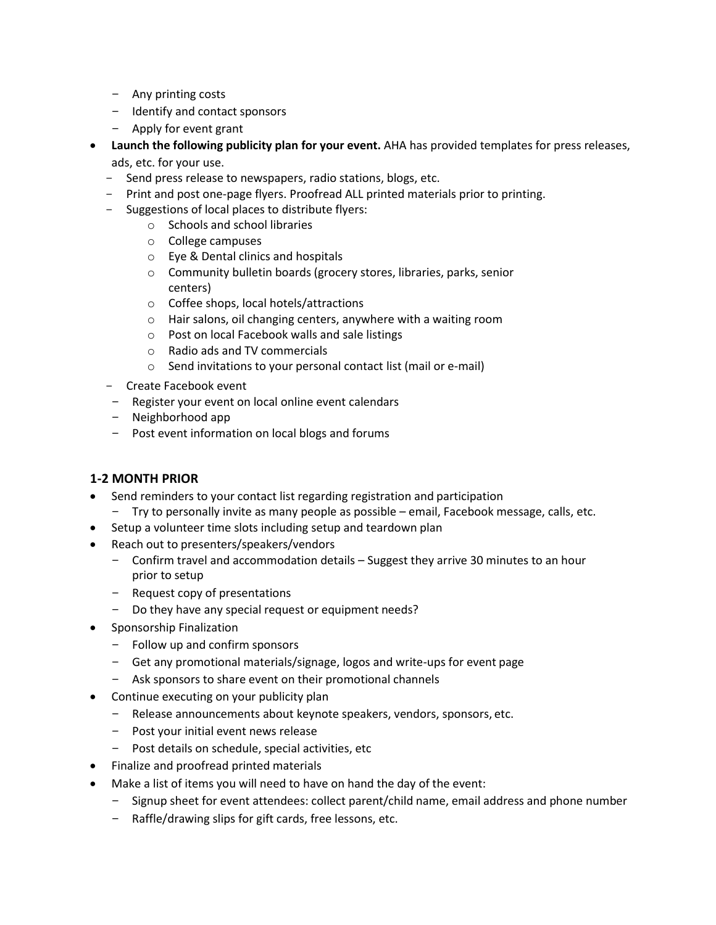- Any printing costs
- Identify and contact sponsors
- Apply for event grant
- **Launch the following publicity plan for your event.** AHA has provided templates for press releases, ads, etc. for your use.
	- Send press release to newspapers, radio stations, blogs, etc.
	- Print and post one-page flyers. Proofread ALL printed materials prior to printing.
	- Suggestions of local places to distribute flyers:
		- o Schools and school libraries
			- o College campuses
			- o Eye & Dental clinics and hospitals
			- o Community bulletin boards (grocery stores, libraries, parks, senior centers)
			- o Coffee shops, local hotels/attractions
			- o Hair salons, oil changing centers, anywhere with a waiting room
			- o Post on local Facebook walls and sale listings
			- o Radio ads and TV commercials
			- o Send invitations to your personal contact list (mail or e-mail)
	- Create Facebook event
	- Register your event on local online event calendars
	- Neighborhood app
	- Post event information on local blogs and forums

# **1-2 MONTH PRIOR**

- Send reminders to your contact list regarding registration and participation
	- Try to personally invite as many people as possible email, Facebook message, calls, etc.
- Setup a volunteer time slots including setup and teardown plan
- Reach out to presenters/speakers/vendors
	- Confirm travel and accommodation details Suggest they arrive 30 minutes to an hour prior to setup
	- Request copy of presentations
	- Do they have any special request or equipment needs?
- **•** Sponsorship Finalization
	- Follow up and confirm sponsors
	- Get any promotional materials/signage, logos and write-ups for event page
	- Ask sponsors to share event on their promotional channels
- Continue executing on your publicity plan
	- Release announcements about keynote speakers, vendors, sponsors, etc.
	- Post your initial event news release
	- Post details on schedule, special activities, etc
- Finalize and proofread printed materials
- Make a list of items you will need to have on hand the day of the event:
	- Signup sheet for event attendees: collect parent/child name, email address and phone number
	- Raffle/drawing slips for gift cards, free lessons, etc.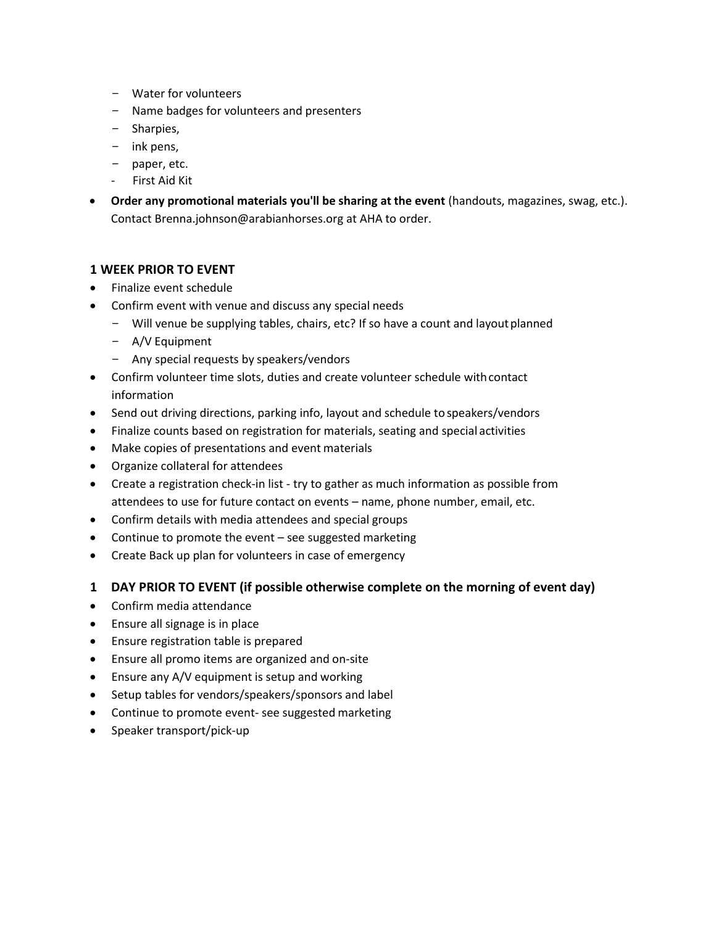- Water for volunteers
- Name badges for volunteers and presenters
- Sharpies,
- ink pens,
- paper, etc.
- First Aid Kit
- **Order any promotional materials you'll be sharing at the event** (handouts, magazines, swag, etc.). Contact Brenna.johnson@arabianhorses.org at AHA to order.

### **1 WEEK PRIOR TO EVENT**

- Finalize event schedule
- Confirm event with venue and discuss any special needs
	- Will venue be supplying tables, chairs, etc? If so have a count and layoutplanned
	- A/V Equipment
	- Any special requests by speakers/vendors
- Confirm volunteer time slots, duties and create volunteer schedule withcontact information
- Send out driving directions, parking info, layout and schedule to speakers/vendors
- Finalize counts based on registration for materials, seating and special activities
- Make copies of presentations and event materials
- Organize collateral for attendees
- Create a registration check-in list try to gather as much information as possible from attendees to use for future contact on events – name, phone number, email, etc.
- Confirm details with media attendees and special groups
- Continue to promote the event see suggested marketing
- Create Back up plan for volunteers in case of emergency

#### **1 DAY PRIOR TO EVENT (if possible otherwise complete on the morning of event day)**

- Confirm media attendance
- Ensure all signage is in place
- Ensure registration table is prepared
- Ensure all promo items are organized and on-site
- Ensure any A/V equipment is setup and working
- Setup tables for vendors/speakers/sponsors and label
- Continue to promote event- see suggested marketing
- Speaker transport/pick-up